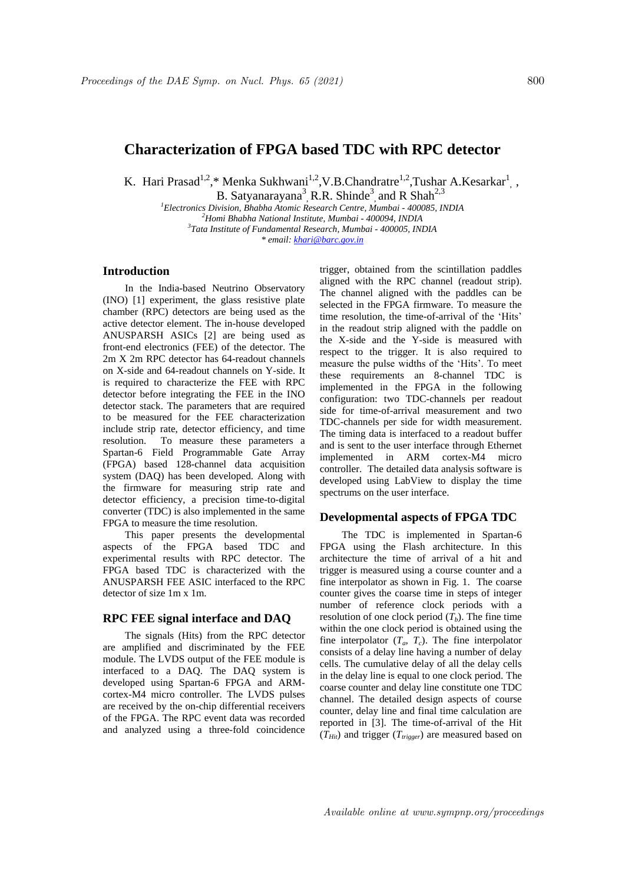# **Characterization of FPGA based TDC with RPC detector**

K. Hari Prasad<sup>1,2</sup>,\* Menka Sukhwani<sup>1,2</sup>,V.B.Chandratre<sup>1,2</sup>,Tushar A.Kesarkar<sup>1</sup>,,

B. Satyanarayana<sup>3</sup>, R.R. Shinde<sup>3</sup>, and R Shah<sup>2,3</sup> *<sup>1</sup>Electronics Division, Bhabha Atomic Research Centre, Mumbai - 400085, INDIA*

*<sup>2</sup>Homi Bhabha National Institute, Mumbai - 400094, INDIA 3 Tata Institute of Fundamental Research, Mumbai - 400005, INDIA \* email: khari@barc.gov.in*

### **Introduction**

In the India-based Neutrino Observatory (INO) [1] experiment, the glass resistive plate chamber (RPC) detectors are being used as the active detector element. The in-house developed ANUSPARSH ASICs [2] are being used as front-end electronics (FEE) of the detector. The 2m X 2m RPC detector has 64-readout channels on X-side and 64-readout channels on Y-side. It is required to characterize the FEE with RPC detector before integrating the FEE in the INO detector stack. The parameters that are required to be measured for the FEE characterization include strip rate, detector efficiency, and time resolution. To measure these parameters a Spartan-6 Field Programmable Gate Array (FPGA) based 128-channel data acquisition system (DAQ) has been developed. Along with the firmware for measuring strip rate and detector efficiency, a precision time-to-digital converter (TDC) is also implemented in the same FPGA to measure the time resolution.

This paper presents the developmental aspects of the FPGA based TDC and experimental results with RPC detector. The FPGA based TDC is characterized with the ANUSPARSH FEE ASIC interfaced to the RPC detector of size 1m x 1m.

### **RPC FEE signal interface and DAQ**

The signals (Hits) from the RPC detector are amplified and discriminated by the FEE module. The LVDS output of the FEE module is interfaced to a DAQ. The DAQ system is developed using Spartan-6 FPGA and ARMcortex-M4 micro controller. The LVDS pulses are received by the on-chip differential receivers of the FPGA. The RPC event data was recorded and analyzed using a three-fold coincidence trigger, obtained from the scintillation paddles aligned with the RPC channel (readout strip). The channel aligned with the paddles can be selected in the FPGA firmware. To measure the time resolution, the time-of-arrival of the 'Hits' in the readout strip aligned with the paddle on the X-side and the Y-side is measured with respect to the trigger. It is also required to measure the pulse widths of the 'Hits'. To meet these requirements an 8-channel TDC is implemented in the FPGA in the following configuration: two TDC-channels per readout side for time-of-arrival measurement and two TDC-channels per side for width measurement. The timing data is interfaced to a readout buffer and is sent to the user interface through Ethernet implemented in ARM cortex-M4 micro controller. The detailed data analysis software is developed using LabView to display the time spectrums on the user interface.

## **Developmental aspects of FPGA TDC**

The TDC is implemented in Spartan-6 FPGA using the Flash architecture. In this architecture the time of arrival of a hit and trigger is measured using a course counter and a fine interpolator as shown in Fig. 1. The coarse counter gives the coarse time in steps of integer number of reference clock periods with a resolution of one clock period  $(T_b)$ . The fine time within the one clock period is obtained using the fine interpolator  $(T_a, T_c)$ . The fine interpolator consists of a delay line having a number of delay cells. The cumulative delay of all the delay cells in the delay line is equal to one clock period. The coarse counter and delay line constitute one TDC channel. The detailed design aspects of course counter, delay line and final time calculation are reported in [3]. The time-of-arrival of the Hit  $(T_{Hit})$  and trigger  $(T_{trigger})$  are measured based on